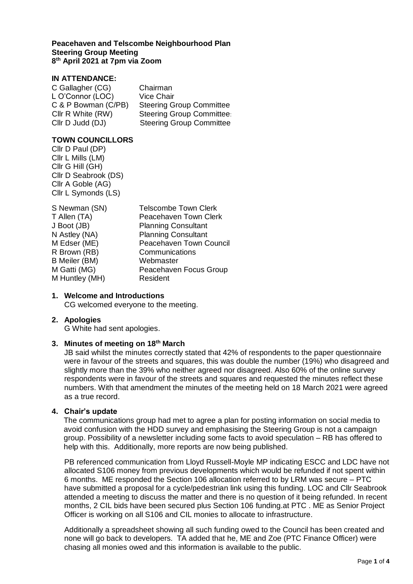### **Peacehaven and Telscombe Neighbourhood Plan Steering Group Meeting 8 th April 2021 at 7pm via Zoom**

# **IN ATTENDANCE:**

| C Gallagher (CG)    | Chairman                         |
|---------------------|----------------------------------|
| L O'Connor (LOC)    | <b>Vice Chair</b>                |
| C & P Bowman (C/PB) | <b>Steering Group Committee</b>  |
| Cllr R White (RW)   | <b>Steering Group Committee:</b> |
| Cllr D Judd (DJ)    | <b>Steering Group Committee</b>  |

## **TOWN COUNCILLORS**

Cllr D Paul (DP) Cllr L Mills (LM) Cllr G Hill (GH) Cllr D Seabrook (DS) Cllr A Goble (AG) Cllr L Symonds (LS)

| S Newman (SN)  | <b>Telscombe Town Clerk</b> |
|----------------|-----------------------------|
| T Allen (TA)   | Peacehaven Town Clerk       |
| J Boot (JB)    | <b>Planning Consultant</b>  |
| N Astley (NA)  | <b>Planning Consultant</b>  |
| M Edser (ME)   | Peacehaven Town Council     |
| R Brown (RB)   | Communications              |
| B Meiler (BM)  | Webmaster                   |
| M Gatti (MG)   | Peacehaven Focus Group      |
| M Huntley (MH) | Resident                    |

### **1. Welcome and Introductions**

CG welcomed everyone to the meeting.

#### **2. Apologies**

G White had sent apologies.

### **3. Minutes of meeting on 18th March**

JB said whilst the minutes correctly stated that 42% of respondents to the paper questionnaire were in favour of the streets and squares, this was double the number (19%) who disagreed and slightly more than the 39% who neither agreed nor disagreed. Also 60% of the online survey respondents were in favour of the streets and squares and requested the minutes reflect these numbers. With that amendment the minutes of the meeting held on 18 March 2021 were agreed as a true record.

#### **4. Chair's update**

The communications group had met to agree a plan for posting information on social media to avoid confusion with the HDD survey and emphasising the Steering Group is not a campaign group. Possibility of a newsletter including some facts to avoid speculation – RB has offered to help with this. Additionally, more reports are now being published.

PB referenced communication from Lloyd Russell-Moyle MP indicating ESCC and LDC have not allocated S106 money from previous developments which would be refunded if not spent within 6 months. ME responded the Section 106 allocation referred to by LRM was secure – PTC have submitted a proposal for a cycle/pedestrian link using this funding. LOC and Cllr Seabrook attended a meeting to discuss the matter and there is no question of it being refunded. In recent months, 2 CIL bids have been secured plus Section 106 funding.at PTC . ME as Senior Project Officer is working on all S106 and CIL monies to allocate to infrastructure.

Additionally a spreadsheet showing all such funding owed to the Council has been created and none will go back to developers. TA added that he, ME and Zoe (PTC Finance Officer) were chasing all monies owed and this information is available to the public.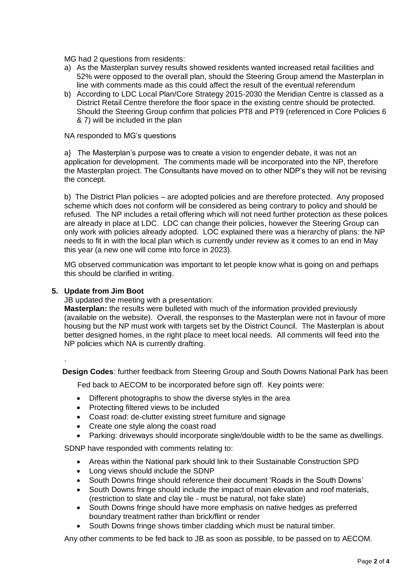MG had 2 questions from residents:

- a) As the Masterplan survey results showed residents wanted increased retail facilities and 52% were opposed to the overall plan, should the Steering Group amend the Masterplan in line with comments made as this could affect the result of the eventual referendum
- b) According to LDC Local Plan/Core Strategy 2015-2030 the Meridian Centre is classed as a District Retail Centre therefore the floor space in the existing centre should be protected. Should the Steering Group confirm that policies PT8 and PT9 (referenced in Core Policies 6 & 7) will be included in the plan

NA responded to MG's questions

a} The Masterplan's purpose was to create a vision to engender debate, it was not an application for development. The comments made will be incorporated into the NP, therefore the Masterplan project. The Consultants have moved on to other NDP's they will not be revising the concept.

b) The District Plan policies – are adopted policies and are therefore protected. Any proposed scheme which does not conform will be considered as being contrary to policy and should be refused. The NP includes a retail offering which will not need further protection as these polices are already in place at LDC. LDC can change their policies, however the Steering Group can only work with policies already adopted. LOC explained there was a hierarchy of plans: the NP needs to fit in with the local plan which is currently under review as it comes to an end in May this year (a new one will come into force in 2023).

MG observed communication was important to let people know what is going on and perhaps this should be clarified in writing.

## **5. Update from Jim Boot**

.

JB updated the meeting with a presentation:

**Masterplan:** the results were bulleted with much of the information provided previously (available on the website). Overall, the responses to the Masterplan were not in favour of more housing but the NP must work with targets set by the District Council. The Masterplan is about better designed homes, in the right place to meet local needs. All comments will feed into the NP policies which NA is currently drafting.

 **Design Codes**: further feedback from Steering Group and South Downs National Park has been

Fed back to AECOM to be incorporated before sign off. Key points were:

- Different photographs to show the diverse styles in the area
- Protecting filtered views to be included
- Coast road: de-clutter existing street furniture and signage
- Create one style along the coast road
- Parking: driveways should incorporate single/double width to be the same as dwellings.

SDNP have responded with comments relating to:

- Areas within the National park should link to their Sustainable Construction SPD
- Long views should include the SDNP
- South Downs fringe should reference their document 'Roads in the South Downs'
- South Downs fringe should include the impact of main elevation and roof materials, (restriction to slate and clay tile - must be natural, not fake slate)
- South Downs fringe should have more emphasis on native hedges as preferred boundary treatment rather than brick/flint or render
- South Downs fringe shows timber cladding which must be natural timber.

Any other comments to be fed back to JB as soon as possible, to be passed on to AECOM.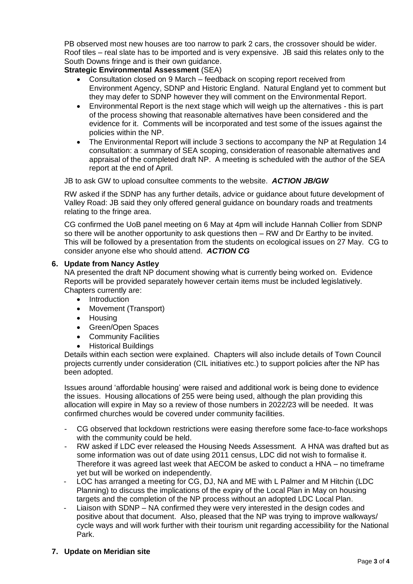PB observed most new houses are too narrow to park 2 cars, the crossover should be wider. Roof tiles – real slate has to be imported and is very expensive. JB said this relates only to the South Downs fringe and is their own guidance.

# **Strategic Environmental Assessment** (SEA)

- Consultation closed on 9 March feedback on scoping report received from Environment Agency, SDNP and Historic England. Natural England yet to comment but they may defer to SDNP however they will comment on the Environmental Report.
- Environmental Report is the next stage which will weigh up the alternatives this is part of the process showing that reasonable alternatives have been considered and the evidence for it. Comments will be incorporated and test some of the issues against the policies within the NP.
- The Environmental Report will include 3 sections to accompany the NP at Regulation 14 consultation: a summary of SEA scoping, consideration of reasonable alternatives and appraisal of the completed draft NP. A meeting is scheduled with the author of the SEA report at the end of April.

JB to ask GW to upload consultee comments to the website. *ACTION JB/GW*

RW asked if the SDNP has any further details, advice or guidance about future development of Valley Road: JB said they only offered general guidance on boundary roads and treatments relating to the fringe area.

CG confirmed the UoB panel meeting on 6 May at 4pm will include Hannah Collier from SDNP so there will be another opportunity to ask questions then – RW and Dr Earthy to be invited. This will be followed by a presentation from the students on ecological issues on 27 May. CG to consider anyone else who should attend. *ACTION CG*

# **6. Update from Nancy Astley**

NA presented the draft NP document showing what is currently being worked on. Evidence Reports will be provided separately however certain items must be included legislatively. Chapters currently are:

- Introduction
- Movement (Transport)
- Housing
- Green/Open Spaces
- Community Facilities
- Historical Buildings

Details within each section were explained. Chapters will also include details of Town Council projects currently under consideration (CIL initiatives etc.) to support policies after the NP has been adopted.

Issues around 'affordable housing' were raised and additional work is being done to evidence the issues. Housing allocations of 255 were being used, although the plan providing this allocation will expire in May so a review of those numbers in 2022/23 will be needed. It was confirmed churches would be covered under community facilities.

- CG observed that lockdown restrictions were easing therefore some face-to-face workshops with the community could be held.
- RW asked if LDC ever released the Housing Needs Assessment. A HNA was drafted but as some information was out of date using 2011 census, LDC did not wish to formalise it. Therefore it was agreed last week that AECOM be asked to conduct a HNA – no timeframe yet but will be worked on independently.
- LOC has arranged a meeting for CG, DJ, NA and ME with L Palmer and M Hitchin (LDC Planning) to discuss the implications of the expiry of the Local Plan in May on housing targets and the completion of the NP process without an adopted LDC Local Plan.
- Liaison with SDNP NA confirmed they were very interested in the design codes and positive about that document. Also, pleased that the NP was trying to improve walkways/ cycle ways and will work further with their tourism unit regarding accessibility for the National Park.

# **7. Update on Meridian site**